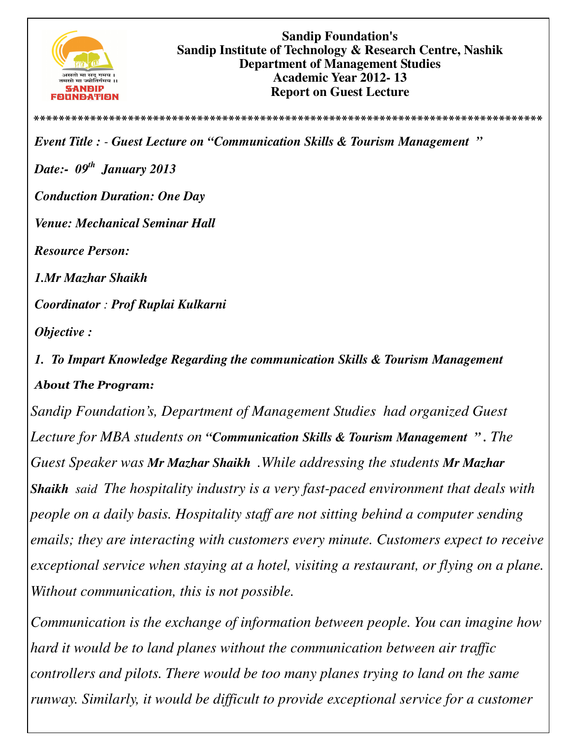

**Sandip Foundation's Sandip Institute of Technology & Research Centre, Nashik Department of Management Studies Academic Year 2012- 13 Report on Guest Lecture** 

*Event Title : - Guest Lecture on "Communication Skills & Tourism Management " Date:- 09th January 2013 Conduction Duration: One Day Venue: Mechanical Seminar Hall Resource Person: 1.Mr Mazhar Shaikh Coordinator : Prof Ruplai Kulkarni Objective :* 

**\*\*\*\*\*\*\*\*\*\*\*\*\*\*\*\*\*\*\*\*\*\*\*\*\*\*\*\*\*\*\*\*\*\*\*\*\*\*\*\*\*\*\*\*\*\*\*\*\*\*\*\*\*\*\*\*\*\*\*\*\*\*\*\*\*\*\*\*\*\*\*\*\*\*\*\*\*\*\*\*\***

*1. To Impart Knowledge Regarding the communication Skills & Tourism Management About The Program:* 

*Sandip Foundation's, Department of Management Studies had organized Guest Lecture for MBA students on "Communication Skills & Tourism Management " . The Guest Speaker was Mr Mazhar Shaikh .While addressing the students Mr Mazhar Shaikh said The hospitality industry is a very fast-paced environment that deals with people on a daily basis. Hospitality staff are not sitting behind a computer sending emails; they are interacting with customers every minute. Customers expect to receive exceptional service when staying at a hotel, visiting a restaurant, or flying on a plane. Without communication, this is not possible.* 

*Communication is the exchange of information between people. You can imagine how hard it would be to land planes without the communication between air traffic controllers and pilots. There would be too many planes trying to land on the same runway. Similarly, it would be difficult to provide exceptional service for a customer*